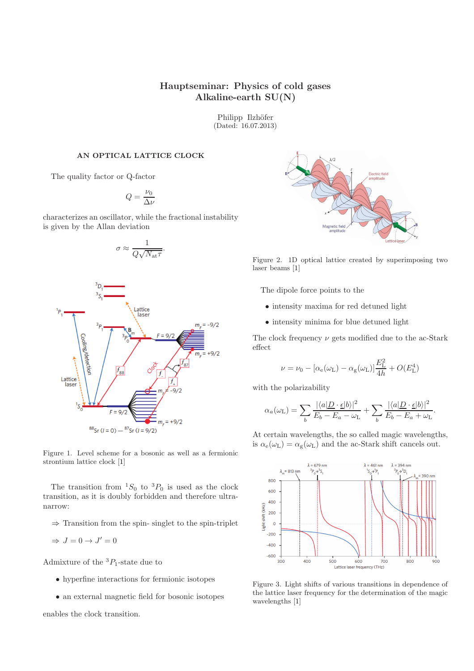# Hauptseminar: Physics of cold gases Alkaline-earth SU(N)

Philipp Ilzhöfer (Dated: 16.07.2013)

#### AN OPTICAL LATTICE CLOCK

The quality factor or Q-factor

$$
Q=\frac{\nu_0}{\Delta \nu}
$$

characterizes an oscillator, while the fractional instability is given by the Allan deviation

$$
\sigma \approx \frac{1}{Q\sqrt{N_{\rm at}\tau}}.
$$



Figure 1. Level scheme for a bosonic as well as a fermionic strontium lattice clock [\[1\]](#page-1-0)

The transition from  ${}^{1}S_{0}$  to  ${}^{3}P_{0}$  is used as the clock transition, as it is doubly forbidden and therefore ultranarrow:

 $\Rightarrow$  Transition from the spin-singlet to the spin-triplet

$$
\Rightarrow J = 0 \to J' = 0
$$

Admixture of the  ${}^{3}P_{1}$ -state due to

- hyperfine interactions for fermionic isotopes
- an external magnetic field for bosonic isotopes

enables the clock transition.



Figure 2. 1D optical lattice created by superimposing two laser beams [\[1](#page-1-0)]

The dipole force points to the

- intensity maxima for red detuned light
- intensity minima for blue detuned light

The clock frequency  $\nu$  gets modified due to the ac-Stark effect

$$
\nu = \nu_0 - [\alpha_e(\omega_L) - \alpha_g(\omega_L)]\frac{E_L^2}{4h} + O(E_L^4)
$$

with the polarizability

$$
\alpha_a(\omega_{\mathrm{L}}) = \sum_b \frac{|\langle a| \underline{D} \cdot \underline{\epsilon} |b \rangle|^2}{E_b - E_a - \omega_{\mathrm{L}}} + \sum_b \frac{|\langle a| \underline{D} \cdot \underline{\epsilon} |b \rangle|^2}{E_b - E_a + \omega_{\mathrm{L}}}.
$$

At certain wavelengths, the so called magic wavelengths, is  $\alpha_{e}(\omega_{L}) = \alpha_{g}(\omega_{L})$  and the ac-Stark shift cancels out.



Figure 3. Light shifts of various transitions in dependence of the lattice laser frequency for the determination of the magic wavelengths [\[1](#page-1-0)]